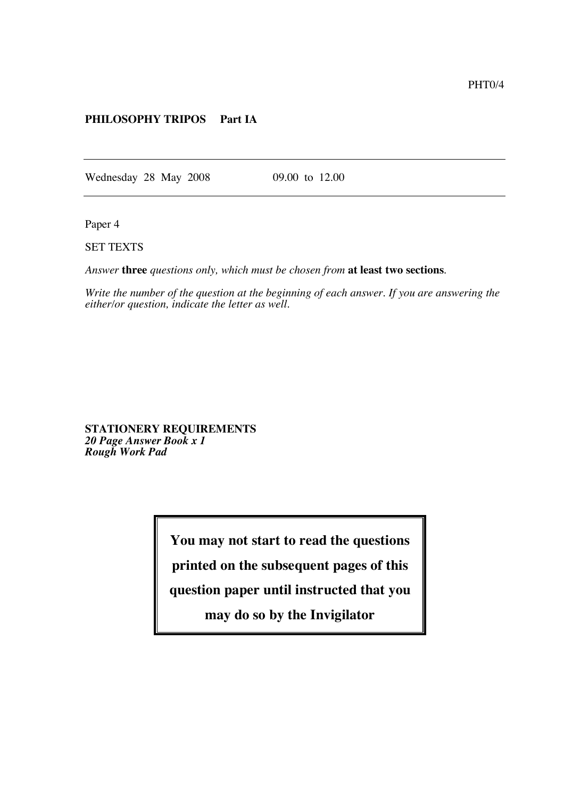## **PHILOSOPHY TRIPOS Part IA**

Wednesday 28 May 2008 09.00 to 12.00

Paper 4

SET TEXTS

*Answer* **three** *questions only, which must be chosen from* **at least two sections**.

*Write the number of the question at the beginning of each answer. If you are answering the either/or question, indicate the letter as well.*

**STATIONERY REQUIREMENTS** *20 Page Answer Book x 1 Rough Work Pad*

**You may not start to read the questions**

**printed on the subsequent pages of this**

**question paper until instructed that you**

**may do so by the Invigilator**